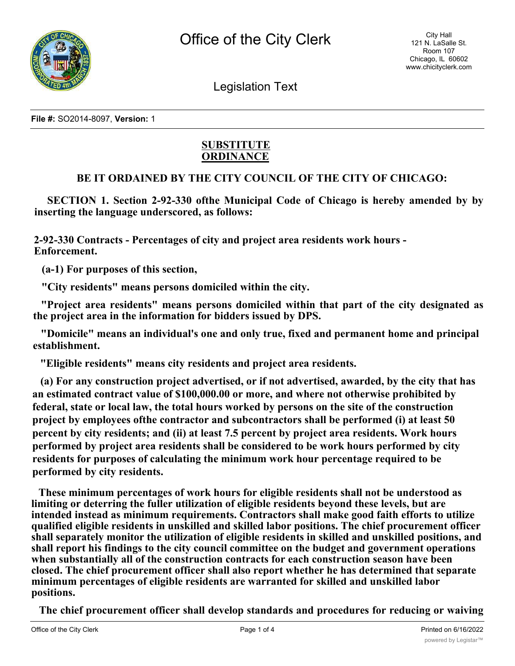

Legislation Text

**File #:** SO2014-8097, **Version:** 1

## **SUBSTITUTE ORDINANCE**

## **BE IT ORDAINED BY THE CITY COUNCIL OF THE CITY OF CHICAGO:**

**SECTION 1. Section 2-92-330 ofthe Municipal Code of Chicago is hereby amended by by inserting the language underscored, as follows:**

**2-92-330 Contracts - Percentages of city and project area residents work hours - Enforcement.**

**(a-1) For purposes of this section,**

**"City residents" means persons domiciled within the city.**

**"Project area residents" means persons domiciled within that part of the city designated as the project area in the information for bidders issued by DPS.**

**"Domicile" means an individual's one and only true, fixed and permanent home and principal establishment.**

**"Eligible residents" means city residents and project area residents.**

**(a) For any construction project advertised, or if not advertised, awarded, by the city that has an estimated contract value of \$100,000.00 or more, and where not otherwise prohibited by federal, state or local law, the total hours worked by persons on the site of the construction project by employees ofthe contractor and subcontractors shall be performed (i) at least 50 percent by city residents; and (ii) at least 7.5 percent by project area residents. Work hours performed by project area residents shall be considered to be work hours performed by city residents for purposes of calculating the minimum work hour percentage required to be performed by city residents.**

**These minimum percentages of work hours for eligible residents shall not be understood as limiting or deterring the fuller utilization of eligible residents beyond these levels, but are intended instead as minimum requirements. Contractors shall make good faith efforts to utilize qualified eligible residents in unskilled and skilled labor positions. The chief procurement officer shall separately monitor the utilization of eligible residents in skilled and unskilled positions, and shall report his findings to the city council committee on the budget and government operations when substantially all of the construction contracts for each construction season have been closed. The chief procurement officer shall also report whether he has determined that separate minimum percentages of eligible residents are warranted for skilled and unskilled labor positions.**

**The chief procurement officer shall develop standards and procedures for reducing or waiving**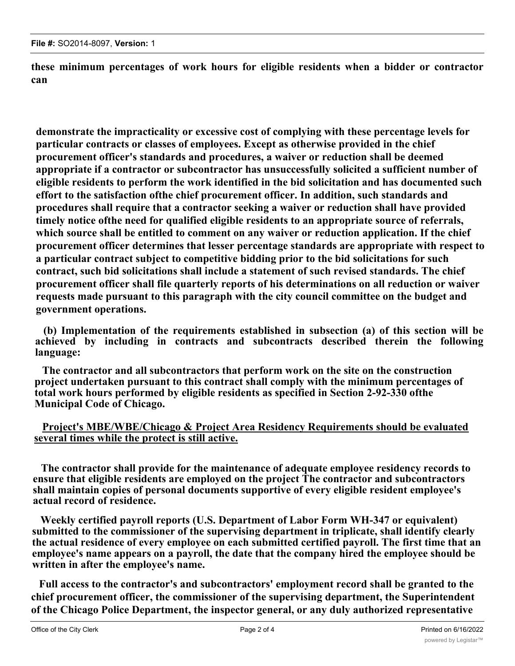**these minimum percentages of work hours for eligible residents when a bidder or contractor can**

**demonstrate the impracticality or excessive cost of complying with these percentage levels for particular contracts or classes of employees. Except as otherwise provided in the chief procurement officer's standards and procedures, a waiver or reduction shall be deemed appropriate if a contractor or subcontractor has unsuccessfully solicited a sufficient number of eligible residents to perform the work identified in the bid solicitation and has documented such effort to the satisfaction ofthe chief procurement officer. In addition, such standards and procedures shall require that a contractor seeking a waiver or reduction shall have provided timely notice ofthe need for qualified eligible residents to an appropriate source of referrals, which source shall be entitled to comment on any waiver or reduction application. If the chief procurement officer determines that lesser percentage standards are appropriate with respect to a particular contract subject to competitive bidding prior to the bid solicitations for such contract, such bid solicitations shall include a statement of such revised standards. The chief procurement officer shall file quarterly reports of his determinations on all reduction or waiver requests made pursuant to this paragraph with the city council committee on the budget and government operations.**

**(b) Implementation of the requirements established in subsection (a) of this section will be achieved by including in contracts and subcontracts described therein the following language:**

**The contractor and all subcontractors that perform work on the site on the construction project undertaken pursuant to this contract shall comply with the minimum percentages of total work hours performed by eligible residents as specified in Section 2-92-330 ofthe Municipal Code of Chicago.**

## **Project's MBE/WBE/Chicago & Project Area Residency Requirements should be evaluated several times while the protect is still active.**

**The contractor shall provide for the maintenance of adequate employee residency records to ensure that eligible residents are employed on the project The contractor and subcontractors shall maintain copies of personal documents supportive of every eligible resident employee's actual record of residence.**

**Weekly certified payroll reports (U.S. Department of Labor Form WH-347 or equivalent) submitted to the commissioner of the supervising department in triplicate, shall identify clearly the actual residence of every employee on each submitted certified payroll. The first time that an employee's name appears on a payroll, the date that the company hired the employee should be written in after the employee's name.**

**Full access to the contractor's and subcontractors' employment record shall be granted to the chief procurement officer, the commissioner of the supervising department, the Superintendent of the Chicago Police Department, the inspector general, or any duly authorized representative**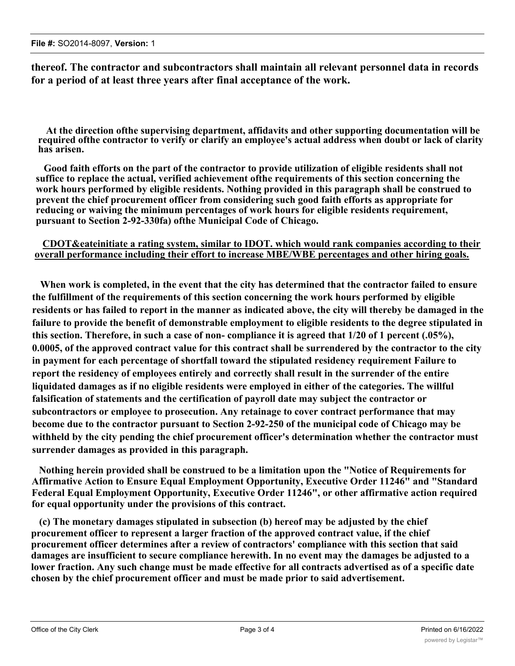**thereof. The contractor and subcontractors shall maintain all relevant personnel data in records for a period of at least three years after final acceptance of the work.**

**At the direction ofthe supervising department, affidavits and other supporting documentation will be required ofthe contractor to verify or clarify an employee's actual address when doubt or lack of clarity has arisen.**

**Good faith efforts on the part of the contractor to provide utilization of eligible residents shall not suffice to replace the actual, verified achievement ofthe requirements of this section concerning the work hours performed by eligible residents. Nothing provided in this paragraph shall be construed to prevent the chief procurement officer from considering such good faith efforts as appropriate for reducing or waiving the minimum percentages of work hours for eligible residents requirement, pursuant to Section 2-92-330fa) ofthe Municipal Code of Chicago.**

## **CDOT&eateinitiate a rating system, similar to IDOT. which would rank companies according to their overall performance including their effort to increase MBE/WBE percentages and other hiring goals.**

**When work is completed, in the event that the city has determined that the contractor failed to ensure the fulfillment of the requirements of this section concerning the work hours performed by eligible residents or has failed to report in the manner as indicated above, the city will thereby be damaged in the failure to provide the benefit of demonstrable employment to eligible residents to the degree stipulated in this section. Therefore, in such a case of non- compliance it is agreed that 1/20 of 1 percent (.05%), 0.0005, of the approved contract value for this contract shall be surrendered by the contractor to the city in payment for each percentage of shortfall toward the stipulated residency requirement Failure to report the residency of employees entirely and correctly shall result in the surrender of the entire liquidated damages as if no eligible residents were employed in either of the categories. The willful falsification of statements and the certification of payroll date may subject the contractor or subcontractors or employee to prosecution. Any retainage to cover contract performance that may become due to the contractor pursuant to Section 2-92-250 of the municipal code of Chicago may be withheld by the city pending the chief procurement officer's determination whether the contractor must surrender damages as provided in this paragraph.**

**Nothing herein provided shall be construed to be a limitation upon the "Notice of Requirements for Affirmative Action to Ensure Equal Employment Opportunity, Executive Order 11246" and "Standard Federal Equal Employment Opportunity, Executive Order 11246", or other affirmative action required for equal opportunity under the provisions of this contract.**

**(c) The monetary damages stipulated in subsection (b) hereof may be adjusted by the chief procurement officer to represent a larger fraction of the approved contract value, if the chief procurement officer determines after a review of contractors' compliance with this section that said damages are insufficient to secure compliance herewith. In no event may the damages be adjusted to a lower fraction. Any such change must be made effective for all contracts advertised as of a specific date chosen by the chief procurement officer and must be made prior to said advertisement.**